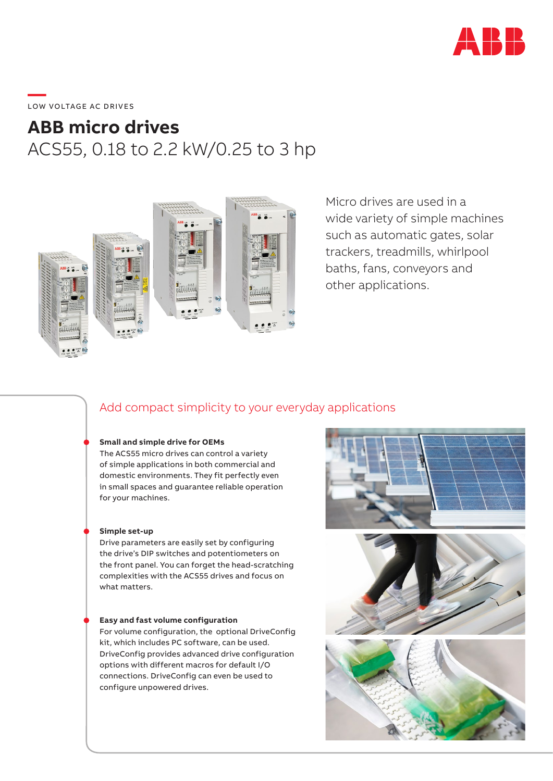

# \_\_\_\_\_<br>LOW VOLTAGE AC DRIVES

## **ABB micro drives** ACS55, 0.18 to 2.2 kW/0.25 to 3 hp



Micro drives are used in a wide variety of simple machines such as automatic gates, solar trackers, treadmills, whirlpool baths, fans, conveyors and other applications.

### Add compact simplicity to your everyday applications

#### **Small and simple drive for OEMs**

The ACS55 micro drives can control a variety of simple applications in both commercial and domestic environments. They fit perfectly even in small spaces and guarantee reliable operation for your machines.

#### **Simple set-up**

Drive parameters are easily set by configuring the drive's DIP switches and potentiometers on the front panel. You can forget the head-scratching complexities with the ACS55 drives and focus on what matters.

#### **Easy and fast volume configuration**

For volume configuration, the optional DriveConfig kit, which includes PC software, can be used. DriveConfig provides advanced drive configuration options with different macros for default I/O connections. DriveConfig can even be used to configure unpowered drives.